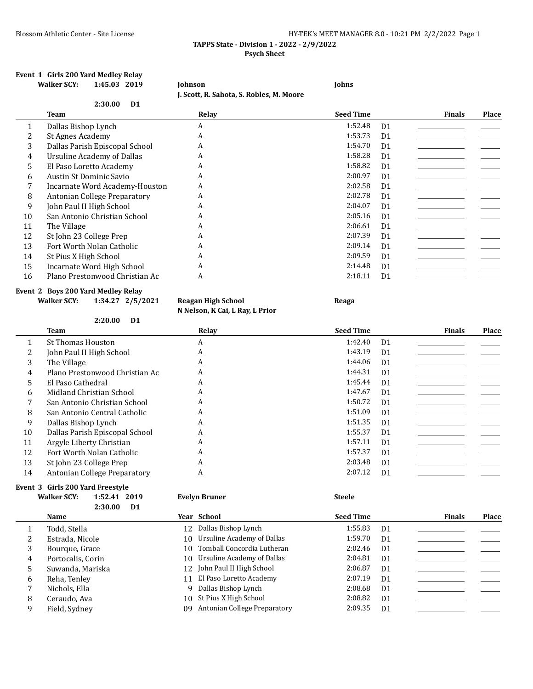### Blossom Athletic Center - Site License **HY-TEK's MEET MANAGER 8.0 - 10:21 PM 2/2/2022** Page 1 **TAPPS State - Division 1 - 2022 - 2/9/2022 Psych Sheet**

#### **Event 1 Girls 200 Yard Medley Relay Walker SCY: 1:45.03 2019 Johnson Johns**

**J. Scott, R. Sahota, S. Robles, M. Moore**

| Team                           | Relay                     | <b>Seed Time</b> |                | <b>Finals</b> | Place |
|--------------------------------|---------------------------|------------------|----------------|---------------|-------|
| Dallas Bishop Lynch            | A                         | 1:52.48          | D <sub>1</sub> |               |       |
| St Agnes Academy               | A                         | 1:53.73          | D <sub>1</sub> |               |       |
| Dallas Parish Episcopal School | A                         | 1:54.70          | D <sub>1</sub> |               |       |
| Ursuline Academy of Dallas     | A                         | 1:58.28          | D <sub>1</sub> |               |       |
| El Paso Loretto Academy        | A                         | 1:58.82          | D <sub>1</sub> |               |       |
| Austin St Dominic Savio        | A                         | 2:00.97          | D <sub>1</sub> |               |       |
| Incarnate Word Academy-Houston | A                         | 2:02.58          | D <sub>1</sub> |               |       |
| Antonian College Preparatory   | A                         | 2:02.78          | D <sub>1</sub> |               |       |
| John Paul II High School       | A                         | 2:04.07          | D <sub>1</sub> |               |       |
| San Antonio Christian School   | A                         | 2:05.16          | D <sub>1</sub> |               |       |
| The Village                    | A                         | 2:06.61          | D <sub>1</sub> |               |       |
| St John 23 College Prep        | A                         | 2:07.39          | D <sub>1</sub> |               |       |
| Fort Worth Nolan Catholic      | A                         | 2:09.14          | D <sub>1</sub> |               |       |
| St Pius X High School          | A                         | 2:09.59          | D <sub>1</sub> |               |       |
| Incarnate Word High School     | A                         | 2:14.48          | D <sub>1</sub> |               |       |
| Plano Prestonwood Christian Ac | A                         | 2:18.11          | D <sub>1</sub> |               |       |
|                                | 2:30.00<br>D <sub>1</sub> |                  |                |               |       |

#### **Event 2 Boys 200 Yard Medley Relay**

**Walker SCY: 1:34.27 2/5/2021 Reagan High School Reaga**

**N Nelson, K Cai, L Ray, L Prior**

|    | 2:20.00<br>D <sub>1</sub>      |       |                           |                        |
|----|--------------------------------|-------|---------------------------|------------------------|
|    | <b>Team</b>                    | Relay | <b>Seed Time</b>          | Place<br><b>Finals</b> |
|    | <b>St Thomas Houston</b>       | A     | 1:42.40<br>D <sub>1</sub> |                        |
| 2  | John Paul II High School       | A     | 1:43.19<br>D <sub>1</sub> |                        |
| 3  | The Village                    | A     | 1:44.06<br>D <sub>1</sub> |                        |
| 4  | Plano Prestonwood Christian Ac | A     | 1:44.31<br>D <sub>1</sub> |                        |
| 5  | El Paso Cathedral              | A     | 1:45.44<br>D <sub>1</sub> |                        |
| 6  | Midland Christian School       | A     | 1:47.67<br>D <sub>1</sub> |                        |
|    | San Antonio Christian School   | A     | 1:50.72<br>D <sub>1</sub> |                        |
| 8  | San Antonio Central Catholic   | A     | 1:51.09<br>D <sub>1</sub> |                        |
| 9  | Dallas Bishop Lynch            | A     | 1:51.35<br>D <sub>1</sub> |                        |
| 10 | Dallas Parish Episcopal School | A     | 1:55.37<br>D <sub>1</sub> |                        |
| 11 | Argyle Liberty Christian       | A     | 1:57.11<br>D <sub>1</sub> |                        |
| 12 | Fort Worth Nolan Catholic      | A     | 1:57.37<br>D <sub>1</sub> |                        |
| 13 | St John 23 College Prep        | A     | 2:03.48<br>D <sub>1</sub> |                        |
| 14 | Antonian College Preparatory   | A     | 2:07.12<br>D <sub>1</sub> |                        |

# **Event 3 Girls 200 Yard Freestyle**

| <b>Walker SCY:</b> | 1:52.41 2019 |      |  |
|--------------------|--------------|------|--|
|                    | 2:30.00      | - D1 |  |

|    | <b>Name</b>       | Year School                     | <b>Seed Time</b> |                | <b>Finals</b> | <b>Place</b> |
|----|-------------------|---------------------------------|------------------|----------------|---------------|--------------|
|    | Todd, Stella      | 12 Dallas Bishop Lynch          | 1:55.83          | D <sub>1</sub> |               |              |
| 2  | Estrada, Nicole   | 10 Ursuline Academy of Dallas   | 1:59.70          | D <sub>1</sub> |               |              |
| 3  | Bourque, Grace    | 10 Tomball Concordia Lutheran   | 2:02.46          | D1             |               |              |
| 4  | Portocalis, Corin | 10 Ursuline Academy of Dallas   | 2:04.81          | D <sub>1</sub> |               |              |
| 5. | Suwanda, Mariska  | 12 John Paul II High School     | 2:06.87          | D <sub>1</sub> |               |              |
| 6  | Reha, Tenley      | 11 El Paso Loretto Academy      | 2:07.19          | D <sub>1</sub> |               |              |
| 7  | Nichols, Ella     | 9 Dallas Bishop Lynch           | 2:08.68          | D1             |               |              |
| 8  | Ceraudo, Ava      | 10 St Pius X High School        | 2:08.82          | D <sub>1</sub> |               |              |
| 9  | Field, Sydney     | 09 Antonian College Preparatory | 2:09.35          | D <sub>1</sub> |               |              |

**Walker SCY: 1:52.41 2019 Evelyn Bruner Steele**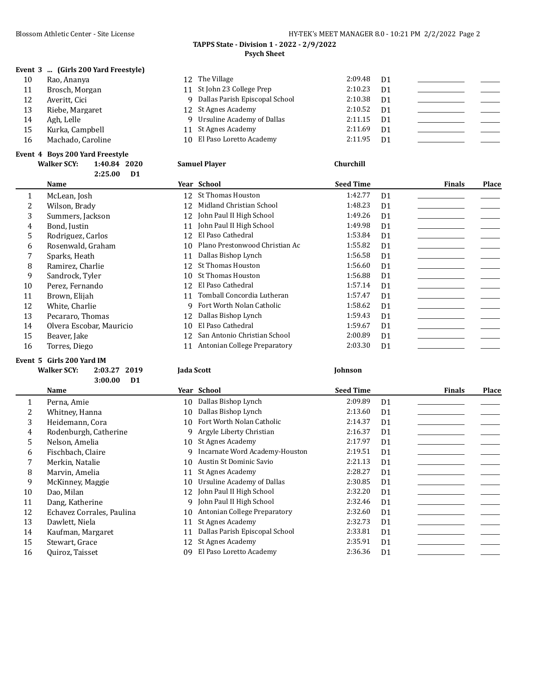**Event 3 ... (Girls 200 Yard Freestyle)**

## Blossom Athletic Center - Site License **HY-TEK's MEET MANAGER 8.0 - 10:21 PM 2/2/2022** Page 2

#### **TAPPS State - Division 1 - 2022 - 2/9/2022 Psych Sheet**

| 10 | Rao, Ananya       | 12 The Village                   | 2:09.48 | D1             |  |
|----|-------------------|----------------------------------|---------|----------------|--|
| 11 | Brosch, Morgan    | 11 St John 23 College Prep       | 2:10.23 | D <sub>1</sub> |  |
| 12 | Averitt, Cici     | 9 Dallas Parish Episcopal School | 2:10.38 | D <sub>1</sub> |  |
| 13 | Riebe, Margaret   | 12 St Agnes Academy              | 2:10.52 | D <sub>1</sub> |  |
| 14 | Agh, Lelle        | 9 Ursuline Academy of Dallas     | 2:11.15 | D <sub>1</sub> |  |
| 15 | Kurka, Campbell   | 11 St Agnes Academy              | 2:11.69 | D <sub>1</sub> |  |
| 16 | Machado, Caroline | 10 El Paso Loretto Academy       | 2:11.95 | D1             |  |
|    |                   |                                  |         |                |  |

#### **Event 4 Boys 200 Yard Freestyle**

|    | 1:40.84 2020<br><b>Walker SCY:</b><br>2:25.00 | <b>Samuel Player</b><br>D <sub>1</sub> |                                   | Churchill                 |                        |
|----|-----------------------------------------------|----------------------------------------|-----------------------------------|---------------------------|------------------------|
|    | <b>Name</b>                                   | Year School                            |                                   | <b>Seed Time</b>          | Place<br><b>Finals</b> |
|    | McLean, Josh                                  |                                        | 12 St Thomas Houston              | 1:42.77<br>D <sub>1</sub> |                        |
| 2  | Wilson, Brady                                 |                                        | 12 Midland Christian School       | 1:48.23<br>D <sub>1</sub> |                        |
| 3  | Summers, Jackson                              |                                        | 12 John Paul II High School       | 1:49.26<br>D <sub>1</sub> |                        |
| 4  | Bond, Justin                                  |                                        | 11 John Paul II High School       | 1:49.98<br>D <sub>1</sub> |                        |
| 5  | Rodriguez, Carlos                             | 12 <sup>°</sup>                        | El Paso Cathedral                 | 1:53.84<br>D <sub>1</sub> |                        |
| 6  | Rosenwald, Graham                             |                                        | 10 Plano Prestonwood Christian Ac | 1:55.82<br>D <sub>1</sub> |                        |
| 7  | Sparks, Heath                                 | 11                                     | Dallas Bishop Lynch               | 1:56.58<br>D <sub>1</sub> |                        |
| 8  | Ramirez, Charlie                              |                                        | 12 St Thomas Houston              | 1:56.60<br>D <sub>1</sub> |                        |
| 9  | Sandrock, Tyler                               |                                        | 10 St Thomas Houston              | 1:56.88<br>D <sub>1</sub> |                        |
| 10 | Doroz Fornando                                |                                        | 12 El Paco Cathodral              | 1.5714<br>D <sub>1</sub>  |                        |

| 1  | McLean, Josh             |     | 12 St Thomas Houston           | 1:42.77 | D <sub>1</sub> |  |
|----|--------------------------|-----|--------------------------------|---------|----------------|--|
| 2  | Wilson, Brady            | 12. | Midland Christian School       | 1:48.23 | D <sub>1</sub> |  |
| 3  | Summers, Jackson         | 12. | John Paul II High School       | 1:49.26 | D <sub>1</sub> |  |
| 4  | Bond, Justin             | 11  | John Paul II High School       | 1:49.98 | D <sub>1</sub> |  |
| 5. | Rodriguez, Carlos        | 12  | El Paso Cathedral              | 1:53.84 | D <sub>1</sub> |  |
| 6  | Rosenwald, Graham        | 10  | Plano Prestonwood Christian Ac | 1:55.82 | D <sub>1</sub> |  |
|    | Sparks, Heath            | 11  | Dallas Bishop Lynch            | 1:56.58 | D <sub>1</sub> |  |
| 8  | Ramirez. Charlie         | 12  | St Thomas Houston              | 1:56.60 | D <sub>1</sub> |  |
| 9  | Sandrock, Tyler          |     | 10 St Thomas Houston           | 1:56.88 | D <sub>1</sub> |  |
| 10 | Perez, Fernando          | 12. | El Paso Cathedral              | 1:57.14 | D <sub>1</sub> |  |
| 11 | Brown, Elijah            | 11  | Tomball Concordia Lutheran     | 1:57.47 | D <sub>1</sub> |  |
| 12 | White, Charlie           | q   | Fort Worth Nolan Catholic      | 1:58.62 | D <sub>1</sub> |  |
| 13 | Pecararo, Thomas         | 12  | Dallas Bishop Lynch            | 1:59.43 | D <sub>1</sub> |  |
| 14 | Olvera Escobar, Mauricio | 10  | El Paso Cathedral              | 1:59.67 | D <sub>1</sub> |  |
| 15 | Beaver, Jake             | 12  | San Antonio Christian School   | 2:00.89 | D <sub>1</sub> |  |
| 16 | Torres, Diego            | 11  | Antonian College Preparatory   | 2:03.30 | D <sub>1</sub> |  |

#### **Event 5 Girls 200 Yard IM**

| Walker SCY: | 2:03.27 2019 | <b>Iada Scott</b> | <b>Iohnson</b> |
|-------------|--------------|-------------------|----------------|
|             | $3:00.00$ D1 |                   |                |

|    | Name                      |    | Year School                    | <b>Seed Time</b> |                | <b>Finals</b> | Place |
|----|---------------------------|----|--------------------------------|------------------|----------------|---------------|-------|
|    | Perna, Amie               | 10 | Dallas Bishop Lynch            | 2:09.89          | D <sub>1</sub> |               |       |
|    | Whitney, Hanna            | 10 | Dallas Bishop Lynch            | 2:13.60          | D <sub>1</sub> |               |       |
| 3  | Heidemann, Cora           | 10 | Fort Worth Nolan Catholic      | 2:14.37          | D <sub>1</sub> |               |       |
| 4  | Rodenburgh, Catherine     | 9  | Argyle Liberty Christian       | 2:16.37          | D <sub>1</sub> |               |       |
| 5. | Nelson, Amelia            | 10 | St Agnes Academy               | 2:17.97          | D <sub>1</sub> |               |       |
| 6  | Fischbach, Claire         | 9  | Incarnate Word Academy-Houston | 2:19.51          | D <sub>1</sub> |               |       |
|    | Merkin, Natalie           |    | 10 Austin St Dominic Savio     | 2:21.13          | D <sub>1</sub> |               |       |
| 8  | Marvin, Amelia            | 11 | St Agnes Academy               | 2:28.27          | D <sub>1</sub> |               |       |
| 9  | McKinney, Maggie          | 10 | Ursuline Academy of Dallas     | 2:30.85          | D <sub>1</sub> |               |       |
| 10 | Dao, Milan                |    | 12 John Paul II High School    | 2:32.20          | D <sub>1</sub> |               |       |
| 11 | Dang, Katherine           | 9  | John Paul II High School       | 2:32.46          | D <sub>1</sub> |               |       |
| 12 | Echavez Corrales, Paulina | 10 | Antonian College Preparatory   | 2:32.60          | D <sub>1</sub> |               |       |
| 13 | Dawlett, Niela            | 11 | St Agnes Academy               | 2:32.73          | D <sub>1</sub> |               |       |
| 14 | Kaufman, Margaret         | 11 | Dallas Parish Episcopal School | 2:33.81          | D <sub>1</sub> |               |       |
| 15 | Stewart, Grace            | 12 | St Agnes Academy               | 2:35.91          | D <sub>1</sub> |               |       |
| 16 | Quiroz, Taisset           | 09 | El Paso Loretto Academy        | 2:36.36          | D <sub>1</sub> |               |       |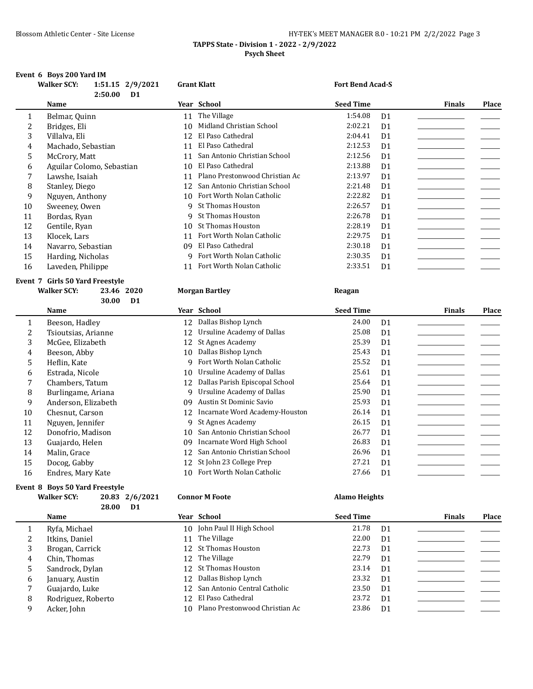### Blossom Athletic Center - Site License **HY-TEK's MEET MANAGER 8.0 - 10:21 PM 2/2/2022** Page 3 **TAPPS State - Division 1 - 2022 - 2/9/2022 Psych Sheet**

#### **Event 6 Boys 200 Yard IM**

|    | <b>Walker SCY:</b><br>1:51.15 2/9/2021<br>2:50.00<br>D <sub>1</sub> |    | <b>Grant Klatt</b>             | <b>Fort Bend Acad-S</b> |                |               |              |
|----|---------------------------------------------------------------------|----|--------------------------------|-------------------------|----------------|---------------|--------------|
|    | <b>Name</b>                                                         |    | Year School                    | <b>Seed Time</b>        |                | <b>Finals</b> | Place        |
| 1  | Belmar, Quinn                                                       | 11 | The Village                    | 1:54.08                 | D <sub>1</sub> |               |              |
| 2  | Bridges, Eli                                                        | 10 | Midland Christian School       | 2:02.21                 | D <sub>1</sub> |               |              |
| 3  | Villalva, Eli                                                       | 12 | El Paso Cathedral              | 2:04.41                 | D <sub>1</sub> |               |              |
| 4  | Machado, Sebastian                                                  | 11 | El Paso Cathedral              | 2:12.53                 | D <sub>1</sub> |               |              |
| 5  | McCrory, Matt                                                       | 11 | San Antonio Christian School   | 2:12.56                 | D <sub>1</sub> |               |              |
| 6  | Aguilar Colomo, Sebastian                                           | 10 | El Paso Cathedral              | 2:13.88                 | D <sub>1</sub> |               |              |
| 7  | Lawshe, Isaiah                                                      | 11 | Plano Prestonwood Christian Ac | 2:13.97                 | D1             |               |              |
| 8  | Stanley, Diego                                                      | 12 | San Antonio Christian School   | 2:21.48                 | D <sub>1</sub> |               |              |
| 9  | Nguyen, Anthony                                                     | 10 | Fort Worth Nolan Catholic      | 2:22.82                 | D <sub>1</sub> |               |              |
| 10 | Sweeney, Owen                                                       | q  | <b>St Thomas Houston</b>       | 2:26.57                 | D <sub>1</sub> |               |              |
| 11 | Bordas, Ryan                                                        | 9  | <b>St Thomas Houston</b>       | 2:26.78                 | D <sub>1</sub> |               |              |
| 12 | Gentile, Ryan                                                       | 10 | <b>St Thomas Houston</b>       | 2:28.19                 | D <sub>1</sub> |               |              |
| 13 | Klocek, Lars                                                        | 11 | Fort Worth Nolan Catholic      | 2:29.75                 | D <sub>1</sub> |               |              |
| 14 | Navarro, Sebastian                                                  | 09 | El Paso Cathedral              | 2:30.18                 | D <sub>1</sub> |               |              |
| 15 | Harding, Nicholas                                                   | 9  | Fort Worth Nolan Catholic      | 2:30.35                 | D <sub>1</sub> |               |              |
| 16 | Laveden, Philippe                                                   | 11 | Fort Worth Nolan Catholic      | 2:33.51                 | D <sub>1</sub> |               |              |
|    | Event 7 Girls 50 Yard Freestyle                                     |    |                                |                         |                |               |              |
|    | <b>Walker SCY:</b><br>23.46<br>2020<br>30.00<br>D <sub>1</sub>      |    | <b>Morgan Bartley</b>          | Reagan                  |                |               |              |
|    | <b>Name</b>                                                         |    | Year School                    | <b>Seed Time</b>        |                | <b>Finals</b> | <b>Place</b> |
| 1  | Beeson, Hadley                                                      | 12 | Dallas Bishop Lynch            | 24.00                   | D <sub>1</sub> |               |              |
| 2  | Tsioutsias, Arianne                                                 | 12 | Ursuline Academy of Dallas     | 25.08                   | D <sub>1</sub> |               |              |

|    | Beeson, Hadley      | 12  | Dallas Bishop Lynch               | 24.00 | D1             |  |
|----|---------------------|-----|-----------------------------------|-------|----------------|--|
| 2  | Tsioutsias, Arianne | 12  | Ursuline Academy of Dallas        | 25.08 | D <sub>1</sub> |  |
| 3  | McGee, Elizabeth    |     | 12 St Agnes Academy               | 25.39 | D <sub>1</sub> |  |
| 4  | Beeson, Abby        | 10  | Dallas Bishop Lynch               | 25.43 | D1             |  |
| 5. | Heflin, Kate        |     | 9 Fort Worth Nolan Catholic       | 25.52 | D1             |  |
| 6  | Estrada, Nicole     | 10  | Ursuline Academy of Dallas        | 25.61 | D <sub>1</sub> |  |
|    | Chambers, Tatum     |     | 12 Dallas Parish Episcopal School | 25.64 | D1             |  |
| 8  | Burlingame, Ariana  | 9   | Ursuline Academy of Dallas        | 25.90 | D <sub>1</sub> |  |
| 9  | Anderson, Elizabeth | 09  | Austin St Dominic Savio           | 25.93 | D <sub>1</sub> |  |
| 10 | Chesnut, Carson     |     | 12 Incarnate Word Academy-Houston | 26.14 | D1             |  |
| 11 | Nguyen, Jennifer    | 9   | St Agnes Academy                  | 26.15 | D <sub>1</sub> |  |
| 12 | Donofrio. Madison   | 10  | San Antonio Christian School      | 26.77 | D <sub>1</sub> |  |
| 13 | Guajardo, Helen     | 09  | Incarnate Word High School        | 26.83 | D <sub>1</sub> |  |
| 14 | Malin, Grace        |     | 12 San Antonio Christian School   | 26.96 | D <sub>1</sub> |  |
| 15 | Docog, Gabby        |     | 12 St John 23 College Prep        | 27.21 | D <sub>1</sub> |  |
| 16 | Endres, Mary Kate   | 10. | Fort Worth Nolan Catholic         | 27.66 | D <sub>1</sub> |  |

### **Event 8 Boys 50 Yard Freestyle**

| <b>Walker SCY:</b> |          | 20.83 2/6/2021 |  |
|--------------------|----------|----------------|--|
|                    | 28.00 D1 |                |  |

#### **Walker SCY: 20.83 2/6/2021 Connor M Foote Alamo Heights**

|    | <b>Name</b>        | Year School                       | <b>Seed Time</b> |                | <b>Finals</b> | <b>Place</b> |
|----|--------------------|-----------------------------------|------------------|----------------|---------------|--------------|
|    | Ryfa, Michael      | 10 John Paul II High School       | 21.78            | D1             |               |              |
| 2  | Itkins, Daniel     | 11 The Village                    | 22.00            | D <sub>1</sub> |               |              |
| 3  | Brogan, Carrick    | 12 St Thomas Houston              | 22.73            | D <sub>1</sub> |               |              |
| 4  | Chin, Thomas       | 12 The Village                    | 22.79            | D <sub>1</sub> |               |              |
| 5. | Sandrock, Dylan    | 12 St Thomas Houston              | 23.14            | D <sub>1</sub> |               |              |
| 6  | January, Austin    | 12 Dallas Bishop Lynch            | 23.32            | D <sub>1</sub> |               |              |
|    | Guajardo, Luke     | 12 San Antonio Central Catholic   | 23.50            | D <sub>1</sub> |               |              |
| 8  | Rodriguez, Roberto | 12 El Paso Cathedral              | 23.72            | D <sub>1</sub> |               |              |
| 9  | Acker, John        | 10 Plano Prestonwood Christian Ac | 23.86            | D1             |               |              |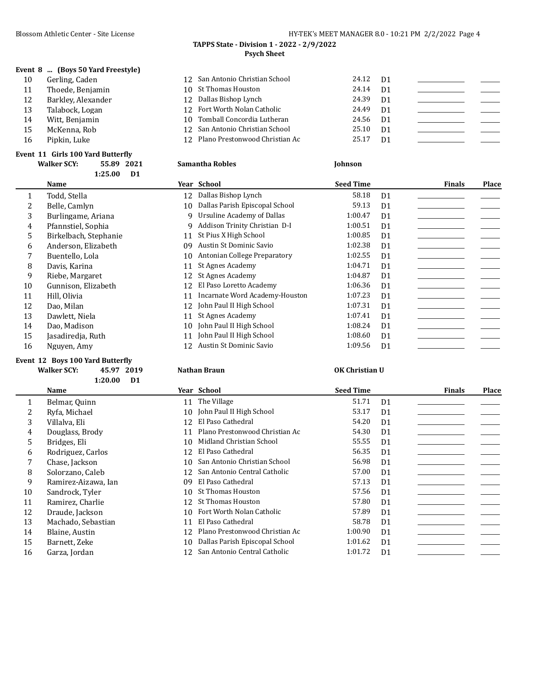**Event 8 ... (Boys 50 Yard Freestyle)**

## Blossom Athletic Center - Site License **HY-TEK's MEET MANAGER 8.0 - 10:21 PM 2/2/2022** Page 4

#### **TAPPS State - Division 1 - 2022 - 2/9/2022 Psych Sheet**

| 10 | Gerling, Caden     | 12 San Antonio Christian School   | 24.12 D1 |                |  |
|----|--------------------|-----------------------------------|----------|----------------|--|
| 11 | Thoede, Benjamin   | 10 St Thomas Houston              | 24.14    | D <sub>1</sub> |  |
| 12 | Barkley, Alexander | 12 Dallas Bishop Lynch            | 24.39    | D1             |  |
| 13 | Talabock, Logan    | 12 Fort Worth Nolan Catholic      | 24.49    | D <sub>1</sub> |  |
| 14 | Witt. Benjamin     | 10 Tomball Concordia Lutheran     | 24.56    | D <sub>1</sub> |  |
| 15 | McKenna, Rob       | 12 San Antonio Christian School   | 25.10    | D <sub>1</sub> |  |
| 16 | Pipkin, Luke       | 12 Plano Prestonwood Christian Ac | 25.17    | D <sub>1</sub> |  |
|    |                    |                                   |          |                |  |

#### **Event 11 Girls 100 Yard Butterfly**

|    | <b>Walker SCY:</b><br>55.89<br>2021 | <b>Samantha Robles</b>               | <b>Johnson</b>            |                        |
|----|-------------------------------------|--------------------------------------|---------------------------|------------------------|
|    | 1:25.00<br>D <sub>1</sub>           |                                      |                           |                        |
|    | Name                                | Year School                          | <b>Seed Time</b>          | Place<br><b>Finals</b> |
| 1  | Todd, Stella                        | Dallas Bishop Lynch<br>12            | 58.18<br>D <sub>1</sub>   |                        |
|    | Belle, Camlyn                       | Dallas Parish Episcopal School<br>10 | 59.13<br>D <sub>1</sub>   |                        |
| 3  | Burlingame, Ariana                  | 9 Ursuline Academy of Dallas         | 1:00.47<br>D <sub>1</sub> |                        |
| 4  | Pfannstiel, Sophia                  | Addison Trinity Christian D-I<br>9   | 1:00.51<br>D <sub>1</sub> |                        |
| 5  | Birkelbach, Stephanie               | St Pius X High School<br>11          | 1:00.85<br>D <sub>1</sub> |                        |
| 6  | Anderson, Elizabeth                 | Austin St Dominic Savio<br>09        | 1:02.38<br>D <sub>1</sub> |                        |
|    | Buentello, Lola                     | Antonian College Preparatory<br>10   | 1:02.55<br>D <sub>1</sub> |                        |
| 8  | Davis, Karina                       | St Agnes Academy<br>11               | 1:04.71<br>D <sub>1</sub> |                        |
| 9  | Riebe, Margaret                     | St Agnes Academy<br>12               | 1:04.87<br>D <sub>1</sub> |                        |
| 10 | Gunnison, Elizabeth                 | El Paso Loretto Academy<br>12        | 1:06.36<br>D <sub>1</sub> |                        |
| 11 | Hill, Olivia                        | Incarnate Word Academy-Houston<br>11 | 1:07.23<br>D <sub>1</sub> |                        |
| 12 | Dao, Milan                          | John Paul II High School<br>12       | 1:07.31<br>D <sub>1</sub> |                        |
| 13 | Dawlett, Niela                      | St Agnes Academy<br>11               | 1:07.41<br>D <sub>1</sub> |                        |
| 14 | Dao, Madison                        | John Paul II High School<br>10       | 1:08.24<br>D <sub>1</sub> |                        |
| 15 | Jasadiredia, Ruth                   | John Paul II High School<br>11       | 1:08.60<br>D <sub>1</sub> |                        |
| 16 | Nguyen, Amy                         | Austin St Dominic Savio<br>12        | 1:09.56<br>D <sub>1</sub> |                        |

## **Event 12 Boys 100 Yard Butterfly**

**Walker SCY: 45.97 2019 Nathan Braun OK Christian U 1:20.00 D1**

|    | Name                |    | Year School                     | <b>Seed Time</b> |                | <b>Finals</b> | Place |
|----|---------------------|----|---------------------------------|------------------|----------------|---------------|-------|
| 1  | Belmar, Quinn       |    | 11 The Village                  | 51.71            | D <sub>1</sub> |               |       |
| 2  | Ryfa. Michael       |    | 10 John Paul II High School     | 53.17            | D <sub>1</sub> |               |       |
| 3  | Villalva, Eli       | 12 | El Paso Cathedral               | 54.20            | D <sub>1</sub> |               |       |
| 4  | Douglass, Brody     | 11 | Plano Prestonwood Christian Ac  | 54.30            | D <sub>1</sub> |               |       |
| 5. | Bridges, Eli        | 10 | Midland Christian School        | 55.55            | D <sub>1</sub> |               |       |
| 6  | Rodriguez, Carlos   | 12 | El Paso Cathedral               | 56.35            | D <sub>1</sub> |               |       |
|    | Chase, Jackson      | 10 | San Antonio Christian School    | 56.98            | D <sub>1</sub> |               |       |
| 8  | Solorzano. Caleb    | 12 | San Antonio Central Catholic    | 57.00            | D <sub>1</sub> |               |       |
| 9  | Ramirez-Aizawa, Ian | 09 | El Paso Cathedral               | 57.13            | D <sub>1</sub> |               |       |
| 10 | Sandrock, Tyler     | 10 | <b>St Thomas Houston</b>        | 57.56            | D <sub>1</sub> |               |       |
| 11 | Ramirez, Charlie    | 12 | St Thomas Houston               | 57.80            | D <sub>1</sub> |               |       |
| 12 | Draude, Jackson     | 10 | Fort Worth Nolan Catholic       | 57.89            | D <sub>1</sub> |               |       |
| 13 | Machado, Sebastian  | 11 | El Paso Cathedral               | 58.78            | D <sub>1</sub> |               |       |
| 14 | Blaine, Austin      | 12 | Plano Prestonwood Christian Ac  | 1:00.90          | D <sub>1</sub> |               |       |
| 15 | Barnett, Zeke       | 10 | Dallas Parish Episcopal School  | 1:01.62          | D <sub>1</sub> |               |       |
| 16 | Garza, Jordan       |    | 12 San Antonio Central Catholic | 1:01.72          | D <sub>1</sub> |               |       |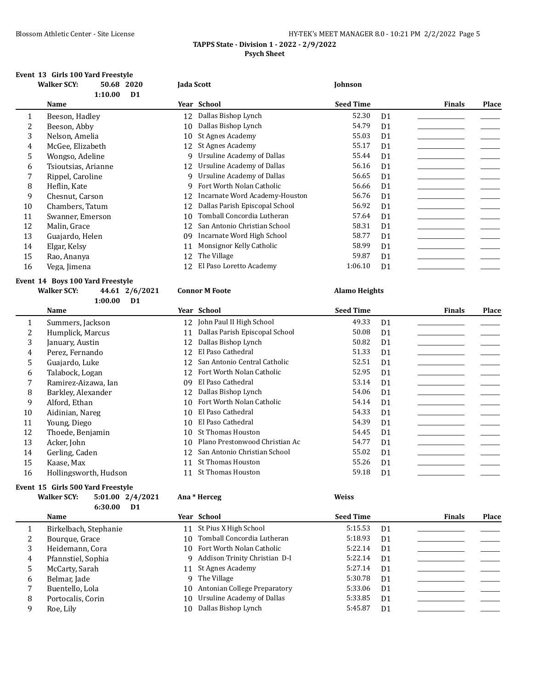### Blossom Athletic Center - Site License **HY-TEK's MEET MANAGER 8.0 - 10:21 PM 2/2/2022** Page 5 **TAPPS State - Division 1 - 2022 - 2/9/2022 Psych Sheet**

## **Event 13 Girls 100 Yard Freestyle**

|              | 2020<br><b>Walker SCY:</b><br>50.68 | Jada Scott                           | Johnson                   |                        |
|--------------|-------------------------------------|--------------------------------------|---------------------------|------------------------|
|              | 1:10.00<br>D <sub>1</sub>           |                                      |                           |                        |
|              | Name                                | Year School                          | <b>Seed Time</b>          | Place<br><b>Finals</b> |
| $\mathbf{1}$ | Beeson, Hadley                      | Dallas Bishop Lynch<br>12            | 52.30<br>D <sub>1</sub>   |                        |
| 2            | Beeson, Abby                        | Dallas Bishop Lynch<br>10            | 54.79<br>D <sub>1</sub>   |                        |
| 3            | Nelson, Amelia                      | St Agnes Academy<br>10               | 55.03<br>D <sub>1</sub>   |                        |
| 4            | McGee, Elizabeth                    | St Agnes Academy<br>12               | 55.17<br>D <sub>1</sub>   |                        |
| 5            | Wongso, Adeline                     | 9 Ursuline Academy of Dallas         | 55.44<br>D <sub>1</sub>   |                        |
| 6            | Tsioutsias, Arianne                 | Ursuline Academy of Dallas<br>12     | 56.16<br>D <sub>1</sub>   |                        |
|              | Rippel, Caroline                    | Ursuline Academy of Dallas<br>9      | 56.65<br>D <sub>1</sub>   |                        |
| 8            | Heflin, Kate                        | Fort Worth Nolan Catholic<br>9       | 56.66<br>D <sub>1</sub>   |                        |
| 9            | Chesnut, Carson                     | Incarnate Word Academy-Houston<br>12 | 56.76<br>D <sub>1</sub>   |                        |
| 10           | Chambers, Tatum                     | Dallas Parish Episcopal School<br>12 | 56.92<br>D <sub>1</sub>   |                        |
| 11           | Swanner, Emerson                    | Tomball Concordia Lutheran<br>10     | 57.64<br>D <sub>1</sub>   |                        |
| 12           | Malin, Grace                        | San Antonio Christian School<br>12   | 58.31<br>D <sub>1</sub>   |                        |
| 13           | Guajardo, Helen                     | Incarnate Word High School<br>09     | 58.77<br>D <sub>1</sub>   |                        |
| 14           | Elgar, Kelsy                        | Monsignor Kelly Catholic<br>11       | 58.99<br>D <sub>1</sub>   |                        |
| 15           | Rao, Ananya                         | The Village<br>12                    | 59.87<br>D <sub>1</sub>   |                        |
| 16           | Vega, Jimena                        | El Paso Loretto Academy<br>12        | 1:06.10<br>D <sub>1</sub> |                        |

#### **Event 14 Boys 100 Yard Freestyle Walker SCY: 44.61 2/6/2021 Connor M Foote Alamo Heights**

|    | 1:00.00               | D <sub>1</sub> |                                |                  |                |               |       |
|----|-----------------------|----------------|--------------------------------|------------------|----------------|---------------|-------|
|    | <b>Name</b>           |                | Year School                    | <b>Seed Time</b> |                | <b>Finals</b> | Place |
|    | Summers, Jackson      | 12             | John Paul II High School       | 49.33            | D <sub>1</sub> |               |       |
| 2  | Humplick, Marcus      | 11             | Dallas Parish Episcopal School | 50.08            | D <sub>1</sub> |               |       |
| 3  | January, Austin       | 12             | Dallas Bishop Lynch            | 50.82            | D <sub>1</sub> |               |       |
| 4  | Perez, Fernando       | 12             | El Paso Cathedral              | 51.33            | D <sub>1</sub> |               |       |
| 5  | Guajardo, Luke        | 12             | San Antonio Central Catholic   | 52.51            | D <sub>1</sub> |               |       |
| 6  | Talabock, Logan       | 12             | Fort Worth Nolan Catholic      | 52.95            | D <sub>1</sub> |               |       |
| 7  | Ramirez-Aizawa, Ian   | 09             | El Paso Cathedral              | 53.14            | D <sub>1</sub> |               |       |
| 8  | Barkley, Alexander    | 12             | Dallas Bishop Lynch            | 54.06            | D <sub>1</sub> |               |       |
| 9  | Alford, Ethan         | 10             | Fort Worth Nolan Catholic      | 54.14            | D <sub>1</sub> |               |       |
| 10 | Aidinian, Nareg       | 10             | El Paso Cathedral              | 54.33            | D <sub>1</sub> |               |       |
| 11 | Young, Diego          | 10             | El Paso Cathedral              | 54.39            | D <sub>1</sub> |               |       |
| 12 | Thoede, Benjamin      | 10             | St Thomas Houston              | 54.45            | D <sub>1</sub> |               |       |
| 13 | Acker, John           | 10             | Plano Prestonwood Christian Ac | 54.77            | D <sub>1</sub> |               |       |
| 14 | Gerling, Caden        | 12             | San Antonio Christian School   | 55.02            | D <sub>1</sub> |               |       |
| 15 | Kaase, Max            | 11             | St Thomas Houston              | 55.26            | D <sub>1</sub> |               |       |
| 16 | Hollingsworth, Hudson | 11             | <b>St Thomas Houston</b>       | 59.18            | D <sub>1</sub> |               |       |

## **Event 15 Girls 500 Yard Freestyle**

| <b>Walker SCY:</b> |            | $5:01.00$ $2/4/2021$ |
|--------------------|------------|----------------------|
|                    | 6:30.00 D1 |                      |

#### **Walker SCY: 5:01.00 2/4/2021 Ana \* Herceg Weiss**

|   | Name                  |    | Year School                     | <b>Seed Time</b> |                | <b>Finals</b> | Place |
|---|-----------------------|----|---------------------------------|------------------|----------------|---------------|-------|
|   | Birkelbach, Stephanie |    | 11 St Pius X High School        | 5:15.53          | D <sub>1</sub> |               |       |
|   | Bourque, Grace        |    | 10 Tomball Concordia Lutheran   | 5:18.93          | D <sub>1</sub> |               |       |
|   | Heidemann, Cora       |    | 10 Fort Worth Nolan Catholic    | 5:22.14          | D <sub>1</sub> |               |       |
| 4 | Pfannstiel, Sophia    |    | 9 Addison Trinity Christian D-I | 5:22.14          | D <sub>1</sub> |               |       |
|   | McCarty, Sarah        |    | 11 St Agnes Academy             | 5:27.14          | D <sub>1</sub> |               |       |
| b | Belmar, Jade          |    | 9 The Village                   | 5:30.78          | D <sub>1</sub> |               |       |
|   | Buentello, Lola       | 10 | Antonian College Preparatory    | 5:33.06          | D <sub>1</sub> |               |       |
| 8 | Portocalis, Corin     |    | 10 Ursuline Academy of Dallas   | 5:33.85          | D <sub>1</sub> |               |       |
| a | Roe, Lily             | 10 | Dallas Bishop Lynch             | 5:45.87          | D <sub>1</sub> |               |       |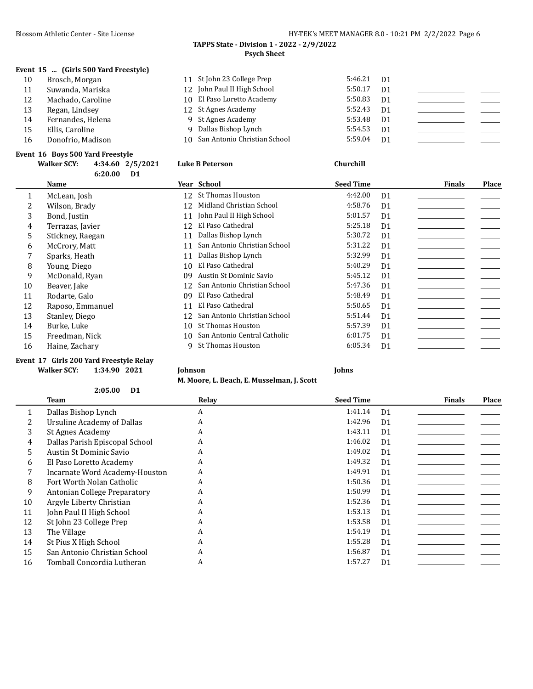| Blossom Athletic Center - Site License | HY-TEK's MEET MANAGER 8.0 - 10:21 PM 2/2/2022 Page 6 |
|----------------------------------------|------------------------------------------------------|
|----------------------------------------|------------------------------------------------------|

#### **TAPPS State - Division 1 - 2022 - 2/9/2022 Psych Sheet**

### **Event 15 ... (Girls 500 Yard Freestyle)**

10 Brosch, Morgan 11 Suwanda, Mariska 12 Machado, Caroline 13 Regan, Lindsey 14 Fernandes, Helena<br>15 Ellis, Caroline Ellis, Caroline 16 Donofrio, Madison

| 11 St John 23 College Prep      | $5:46.21$ D1 |                |  |
|---------------------------------|--------------|----------------|--|
| 12 John Paul II High School     | 5:50.17      | D <sub>1</sub> |  |
| 10 El Paso Loretto Academy      | 5:50.83      | D <sub>1</sub> |  |
| 12 St Agnes Academy             | 5:52.43      | D <sub>1</sub> |  |
| 9 St Agnes Academy              | 5:53.48      | D <sub>1</sub> |  |
| 9 Dallas Bishop Lynch           | 5:54.53      | D <sub>1</sub> |  |
| 10 San Antonio Christian School | 5:59.04      | D <sub>1</sub> |  |
|                                 |              |                |  |

### **Event 16 Boys 500 Yard Freestyle**

|              | <b>Walker SCY:</b> | 4:34.60 2/5/2021 | <b>Luke B Peterson</b>       | Churchill        |                |               |       |
|--------------|--------------------|------------------|------------------------------|------------------|----------------|---------------|-------|
|              | 6:20.00            | D <sub>1</sub>   |                              |                  |                |               |       |
|              | Name               |                  | Year School                  | <b>Seed Time</b> |                | <b>Finals</b> | Place |
| $\mathbf{1}$ | McLean, Josh       |                  | 12 St Thomas Houston         | 4:42.00          | D <sub>1</sub> |               |       |
| 2            | Wilson, Brady      | 12               | Midland Christian School     | 4:58.76          | D <sub>1</sub> |               |       |
| 3            | Bond, Justin       | 11               | John Paul II High School     | 5:01.57          | D <sub>1</sub> |               |       |
| 4            | Terrazas, Javier   | 12               | El Paso Cathedral            | 5:25.18          | D <sub>1</sub> |               |       |
| 5            | Stickney, Raegan   | 11               | Dallas Bishop Lynch          | 5:30.72          | D <sub>1</sub> |               |       |
| 6            | McCrory, Matt      | 11               | San Antonio Christian School | 5:31.22          | D <sub>1</sub> |               |       |
| 7            | Sparks, Heath      | 11               | Dallas Bishop Lynch          | 5:32.99          | D <sub>1</sub> |               |       |
| 8            | Young, Diego       | 10               | El Paso Cathedral            | 5:40.29          | D <sub>1</sub> |               |       |
| 9            | McDonald, Ryan     | 09               | Austin St Dominic Savio      | 5:45.12          | D <sub>1</sub> |               |       |
| 10           | Beaver, Jake       | 12               | San Antonio Christian School | 5:47.36          | D <sub>1</sub> |               |       |
| 11           | Rodarte, Galo      | 09               | El Paso Cathedral            | 5:48.49          | D <sub>1</sub> |               |       |
| 12           | Raposo, Emmanuel   | 11               | El Paso Cathedral            | 5:50.65          | D <sub>1</sub> |               |       |
| 13           | Stanley, Diego     | 12               | San Antonio Christian School | 5:51.44          | D <sub>1</sub> |               |       |
| 14           | Burke, Luke        | 10               | St Thomas Houston            | 5:57.39          | D <sub>1</sub> |               |       |
| 15           | Freedman, Nick     | 10               | San Antonio Central Catholic | 6:01.75          | D <sub>1</sub> |               |       |
| 16           | Haine, Zachary     | q                | St Thomas Houston            | 6:05.34          | D <sub>1</sub> |               |       |

#### **Event 17 Girls 200 Yard Freestyle Relay Walker SCY: 1:34.90 2021 Johnson Johns**

**2:05.00 D1**

**M. Moore, L. Beach, E. Musselman, J. Scott**

|    | Team                           | Relay | <b>Seed Time</b> |                | <b>Finals</b> | Place |
|----|--------------------------------|-------|------------------|----------------|---------------|-------|
|    | Dallas Bishop Lynch            | A     | 1:41.14          | D <sub>1</sub> |               |       |
|    | Ursuline Academy of Dallas     | A     | 1:42.96          | D <sub>1</sub> |               |       |
| 3  | St Agnes Academy               | A     | 1:43.11          | D <sub>1</sub> |               |       |
| 4  | Dallas Parish Episcopal School | A     | 1:46.02          | D <sub>1</sub> |               |       |
| 5. | Austin St Dominic Savio        | A     | 1:49.02          | D <sub>1</sub> |               |       |
| 6  | El Paso Loretto Academy        | A     | 1:49.32          | D <sub>1</sub> |               |       |
|    | Incarnate Word Academy-Houston | A     | 1:49.91          | D <sub>1</sub> |               |       |
| 8  | Fort Worth Nolan Catholic      | A     | 1:50.36          | D <sub>1</sub> |               |       |
| 9  | Antonian College Preparatory   | A     | 1:50.99          | D <sub>1</sub> |               |       |
| 10 | Argyle Liberty Christian       | A     | 1:52.36          | D <sub>1</sub> |               |       |
| 11 | John Paul II High School       | A     | 1:53.13          | D <sub>1</sub> |               |       |
| 12 | St John 23 College Prep        | A     | 1:53.58          | D <sub>1</sub> |               |       |
| 13 | The Village                    | A     | 1:54.19          | D <sub>1</sub> |               |       |
| 14 | St Pius X High School          | A     | 1:55.28          | D <sub>1</sub> |               |       |
| 15 | San Antonio Christian School   | A     | 1:56.87          | D <sub>1</sub> |               |       |
| 16 | Tomball Concordia Lutheran     | A     | 1:57.27          | D <sub>1</sub> |               |       |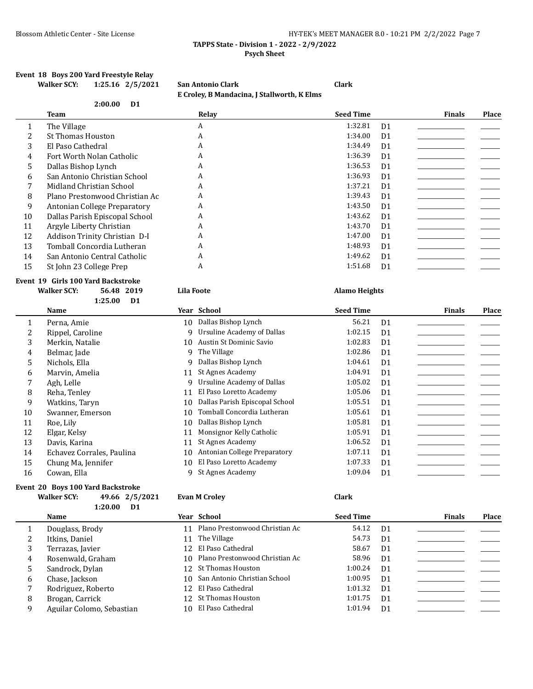### Blossom Athletic Center - Site License **HY-TEK's MEET MANAGER 8.0 - 10:21 PM 2/2/2022** Page 7 **TAPPS State - Division 1 - 2022 - 2/9/2022 Psych Sheet**

#### **Event 18 Boys 200 Yard Freestyle Relay Walker SCY: 1:25.16 2/5/2021 San Antonio Clark Clark**

|    |                                  |                   | E Croley, B Mandacina, J Stallworth, K Elms |                      |                |               |       |
|----|----------------------------------|-------------------|---------------------------------------------|----------------------|----------------|---------------|-------|
|    | 2:00.00<br>D <sub>1</sub>        |                   |                                             |                      |                |               |       |
|    | <b>Team</b>                      |                   | Relay                                       | <b>Seed Time</b>     |                | <b>Finals</b> | Place |
| 1  | The Village                      |                   | A                                           | 1:32.81              | D <sub>1</sub> |               |       |
| 2  | <b>St Thomas Houston</b>         |                   | A                                           | 1:34.00              | D <sub>1</sub> |               |       |
| 3  | El Paso Cathedral                |                   | A                                           | 1:34.49              | D <sub>1</sub> |               |       |
| 4  | Fort Worth Nolan Catholic        |                   | A                                           | 1:36.39              | D <sub>1</sub> |               |       |
| 5  | Dallas Bishop Lynch              |                   | A                                           | 1:36.53              | D <sub>1</sub> |               |       |
| 6  | San Antonio Christian School     |                   | A                                           | 1:36.93              | D <sub>1</sub> |               |       |
| 7  | Midland Christian School         |                   | A                                           | 1:37.21              | D <sub>1</sub> |               |       |
| 8  | Plano Prestonwood Christian Ac   |                   | A                                           | 1:39.43              | D <sub>1</sub> |               |       |
| 9  | Antonian College Preparatory     |                   | A                                           | 1:43.50              | D <sub>1</sub> |               |       |
| 10 | Dallas Parish Episcopal School   |                   | A                                           | 1:43.62              | D <sub>1</sub> |               |       |
| 11 | Argyle Liberty Christian         |                   | A                                           | 1:43.70              | D <sub>1</sub> |               |       |
| 12 | Addison Trinity Christian D-I    |                   | A                                           | 1:47.00              | D <sub>1</sub> |               |       |
| 13 | Tomball Concordia Lutheran       |                   | A                                           | 1:48.93              | D <sub>1</sub> |               |       |
| 14 | San Antonio Central Catholic     |                   | A                                           | 1:49.62              | D <sub>1</sub> |               |       |
| 15 | St John 23 College Prep          |                   | A                                           | 1:51.68              | D <sub>1</sub> |               |       |
|    | ent 19 Girls 100 Yard Backstroke |                   |                                             |                      |                |               |       |
|    | <b>Walker SCY:</b><br>56.48 2019 | <b>Lila Foote</b> |                                             | <b>Alamo Heights</b> |                |               |       |
|    | 1:25.00<br>D <sub>1</sub>        |                   |                                             |                      |                |               |       |
|    | <b>Name</b>                      |                   | Year School                                 | <b>Seed Time</b>     |                | <b>Finals</b> | Place |
| 1  | Perna, Amie                      |                   | 10 Dallas Bishop Lynch                      | 56.21                | D <sub>1</sub> |               |       |
| 2  | Rippel, Caroline                 | 9                 | <b>Ursuline Academy of Dallas</b>           | 1:02.15              | D <sub>1</sub> |               |       |
| 3  | Merkin, Natalie                  | 10                | Austin St Dominic Savio                     | 1:02.83              | D <sub>1</sub> |               |       |
| 4  | Belmar, Jade                     | 9                 | The Village                                 | 1:02.86              | D <sub>1</sub> |               |       |
| 5  | Nichols, Ella                    | 9                 | Dallas Bishop Lynch                         | 1:04.61              | D <sub>1</sub> |               |       |
| 6  | Marvin, Amelia                   | 11                | <b>St Agnes Academy</b>                     | 1:04.91              | D <sub>1</sub> |               |       |
| 7  | Agh, Lelle                       | 9                 | <b>Ursuline Academy of Dallas</b>           | 1:05.02              | D <sub>1</sub> |               |       |
| 8  | Reha, Tenley                     | 11                | El Paso Loretto Academy                     | 1:05.06              | D <sub>1</sub> |               |       |
| 9  | Watkins, Taryn                   | 10                | Dallas Parish Episcopal School              | 1:05.51              | D <sub>1</sub> |               |       |
| 10 | Swanner, Emerson                 | 10                | Tomball Concordia Lutheran                  | 1:05.61              | D <sub>1</sub> |               |       |
| 11 | Roe, Lily                        | 10                | Dallas Bishop Lynch                         | 1:05.81              | D <sub>1</sub> |               |       |
| 12 | Elgar, Kelsy                     | 11                | Monsignor Kelly Catholic                    | 1:05.91              | D <sub>1</sub> |               |       |
| 13 | Davis, Karina                    | 11                | St Agnes Academy                            | 1:06.52              | D <sub>1</sub> |               |       |

- 14 Echavez Corrales, Paulina 10 Antonian College Preparatory 1:07.11 D1
- 15 Chung Ma, Jennifer 10 El Paso Loretto Academy 1:07.33 D1
- 16 Cowan, Ella 1:09.04 D1

**Event** 

## **Event 20 Boys 100 Yard Backstroke**

#### **Walker SCY: 49.66 2/5/2021 Evan M Croley Clark 1:20.00 D1**

|    | <b>Name</b>               |     | Year School                       | <b>Seed Time</b> |                | <b>Finals</b> | Place |
|----|---------------------------|-----|-----------------------------------|------------------|----------------|---------------|-------|
| 1  | Douglass, Brody           |     | 11 Plano Prestonwood Christian Ac | 54.12 D1         |                |               |       |
| 2  | Itkins, Daniel            |     | 11 The Village                    | 54.73            | D <sub>1</sub> |               |       |
| 3  | Terrazas, Javier          |     | 12 El Paso Cathedral              | 58.67            | D <sub>1</sub> |               |       |
| 4  | Rosenwald, Graham         |     | 10 Plano Prestonwood Christian Ac | 58.96            | D <sub>1</sub> |               |       |
| 5. | Sandrock, Dylan           |     | 12 St Thomas Houston              | 1:00.24          | D <sub>1</sub> |               |       |
| 6  | Chase, Jackson            |     | 10 San Antonio Christian School   | 1:00.95          | D <sub>1</sub> |               |       |
| 7  | Rodriguez, Roberto        |     | 12 El Paso Cathedral              | 1:01.32          | D <sub>1</sub> |               |       |
| 8  | Brogan, Carrick           |     | 12 St Thomas Houston              | 1:01.75          | D <sub>1</sub> |               |       |
| 9  | Aguilar Colomo, Sebastian | 10. | El Paso Cathedral                 | 1:01.94          | D <sub>1</sub> |               |       |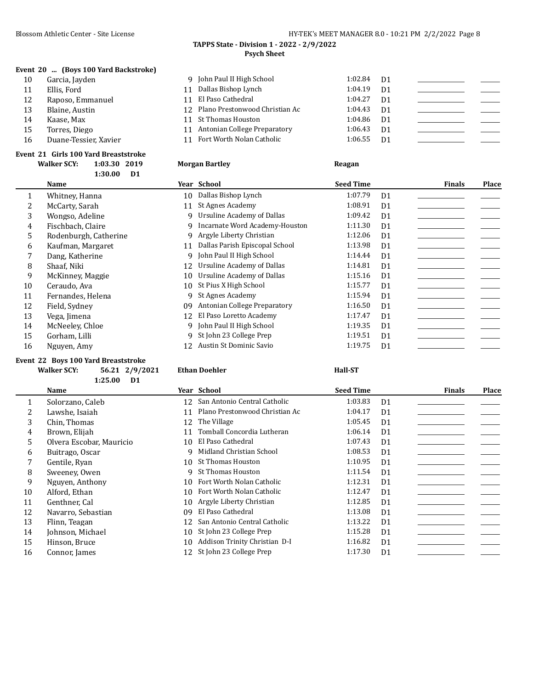### **TAPPS State - Division 1 - 2022 - 2/9/2022 Psych Sheet**

### **Event 20 ... (Boys 100 Yard Backstroke)**

| 10 | Garcia, Jayden        |    | 9 John Paul II High School        | 1:02.84 | D1             |  |
|----|-----------------------|----|-----------------------------------|---------|----------------|--|
| 11 | Ellis, Ford           | 11 | Dallas Bishop Lynch               | 1:04.19 | D <sub>1</sub> |  |
| 12 | Raposo, Emmanuel      |    | 11 El Paso Cathedral              | 1:04.27 | D1             |  |
| 13 | Blaine, Austin        |    | 12 Plano Prestonwood Christian Ac | 1:04.43 | D1             |  |
| 14 | Kaase. Max            |    | 11 St Thomas Houston              | 1:04.86 | D1             |  |
| 15 | Torres, Diego         |    | 11 Antonian College Preparatory   | 1:06.43 | D1             |  |
| 16 | Duane-Tessier, Xavier |    | 11 Fort Worth Nolan Catholic      | 1:06.55 | - D1           |  |
|    |                       |    |                                   |         |                |  |

**Morgan Bartley 1:03.30 2019 Reagan** 

#### **Event 21 Girls 100 Yard Breaststroke**

| <b>Walker SCY:</b> | 1:03.30 2019 |  |
|--------------------|--------------|--|
|                    | $1:30.00$ D1 |  |

|    | Name                  |    | Year School                    | <b>Seed Time</b> |                | <b>Finals</b> | Place |
|----|-----------------------|----|--------------------------------|------------------|----------------|---------------|-------|
| 1  | Whitney, Hanna        | 10 | Dallas Bishop Lynch            | 1:07.79          | D <sub>1</sub> |               |       |
| 2  | McCarty, Sarah        | 11 | St Agnes Academy               | 1:08.91          | D <sub>1</sub> |               |       |
| 3  | Wongso, Adeline       | q  | Ursuline Academy of Dallas     | 1:09.42          | D <sub>1</sub> |               |       |
| 4  | Fischbach, Claire     | 9. | Incarnate Word Academy-Houston | 1:11.30          | D <sub>1</sub> |               |       |
| 5  | Rodenburgh, Catherine | 9. | Argyle Liberty Christian       | 1:12.06          | D1             |               |       |
| 6  | Kaufman, Margaret     | 11 | Dallas Parish Episcopal School | 1:13.98          | D <sub>1</sub> |               |       |
|    | Dang, Katherine       | 9  | John Paul II High School       | 1:14.44          | D <sub>1</sub> |               |       |
| 8  | Shaaf, Niki           | 12 | Ursuline Academy of Dallas     | 1:14.81          | D <sub>1</sub> |               |       |
| 9  | McKinney, Maggie      | 10 | Ursuline Academy of Dallas     | 1:15.16          | D <sub>1</sub> |               |       |
| 10 | Ceraudo, Ava          | 10 | St Pius X High School          | 1:15.77          | D <sub>1</sub> |               |       |
| 11 | Fernandes, Helena     | 9  | St Agnes Academy               | 1:15.94          | D <sub>1</sub> |               |       |
| 12 | Field, Sydney         | 09 | Antonian College Preparatory   | 1:16.50          | D <sub>1</sub> |               |       |
| 13 | Vega, Jimena          | 12 | El Paso Loretto Academy        | 1:17.47          | D <sub>1</sub> |               |       |
| 14 | McNeeley, Chloe       |    | 9 John Paul II High School     | 1:19.35          | D <sub>1</sub> |               |       |
| 15 | Gorham, Lilli         |    | 9 St John 23 College Prep      | 1:19.51          | D <sub>1</sub> |               |       |
| 16 | Nguyen, Amy           | 12 | Austin St Dominic Savio        | 1:19.75          | D <sub>1</sub> |               |       |
|    |                       |    |                                |                  |                |               |       |

#### **Event 22 Boys 100 Yard Breaststroke**

## **Walker SCY: 56.21 2/9/2021 Ethan Doehler Hall-ST**

**1:25.00 D1**

|    | Name                     |    | Year School                     | <b>Seed Time</b> |                | <b>Finals</b> | Place |
|----|--------------------------|----|---------------------------------|------------------|----------------|---------------|-------|
|    | Solorzano, Caleb         |    | 12 San Antonio Central Catholic | 1:03.83          | D <sub>1</sub> |               |       |
|    | Lawshe, Isaiah           |    | Plano Prestonwood Christian Ac  | 1:04.17          | D <sub>1</sub> |               |       |
| 3  | Chin. Thomas             |    | 12 The Village                  | 1:05.45          | D <sub>1</sub> |               |       |
| 4  | Brown, Elijah            | 11 | Tomball Concordia Lutheran      | 1:06.14          | D <sub>1</sub> |               |       |
| 5. | Olvera Escobar, Mauricio | 10 | El Paso Cathedral               | 1:07.43          | D <sub>1</sub> |               |       |
| 6  | Buitrago, Oscar          |    | Midland Christian School        | 1:08.53          | D <sub>1</sub> |               |       |
|    | Gentile, Ryan            | 10 | St Thomas Houston               | 1:10.95          | D <sub>1</sub> |               |       |
| 8  | Sweeney, Owen            | q  | St Thomas Houston               | 1:11.54          | D <sub>1</sub> |               |       |
| 9  | Nguyen, Anthony          | 10 | Fort Worth Nolan Catholic       | 1:12.31          | D <sub>1</sub> |               |       |
| 10 | Alford, Ethan            | 10 | Fort Worth Nolan Catholic       | 1:12.47          | D <sub>1</sub> |               |       |
| 11 | Genthner, Cal            |    | 10 Argyle Liberty Christian     | 1:12.85          | D <sub>1</sub> |               |       |
| 12 | Navarro, Sebastian       | 09 | El Paso Cathedral               | 1:13.08          | D <sub>1</sub> |               |       |
| 13 | Flinn, Teagan            |    | 12 San Antonio Central Catholic | 1:13.22          | D <sub>1</sub> |               |       |
| 14 | Johnson, Michael         | 10 | St John 23 College Prep         | 1:15.28          | D <sub>1</sub> |               |       |
| 15 | Hinson, Bruce            | 10 | Addison Trinity Christian D-I   | 1:16.82          | D <sub>1</sub> |               |       |
| 16 | Connor, James            |    | 12 St John 23 College Prep      | 1:17.30          | D <sub>1</sub> |               |       |